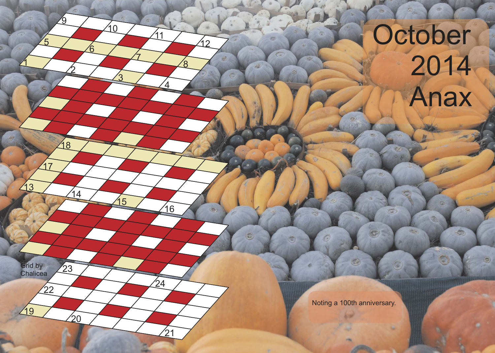## October 2014 Anax

o

۵

Ġ

Noting a 100th anniversary.

O)

 $\tilde{\circ}$ **GRS** 

 $\mathfrak{1}$ 

13

19

**Chalicea** 

<u> 17</u>

Grid by 23

 $\overline{5}$ 

2

 $\frac{14}{1}$ 

 $\overline{2}0$ 

<sup>22</sup> <sup>24</sup>

18

**g** 

6

<u>3</u>

15

 $10$ 

7

 $\overline{4}$ 

16

 $^{'}21$ 

11

 $\overline{S}$ 

 $\mathcal{S}'$ 

イク

 $\overline{\mathbb{D}}$ 

ita.